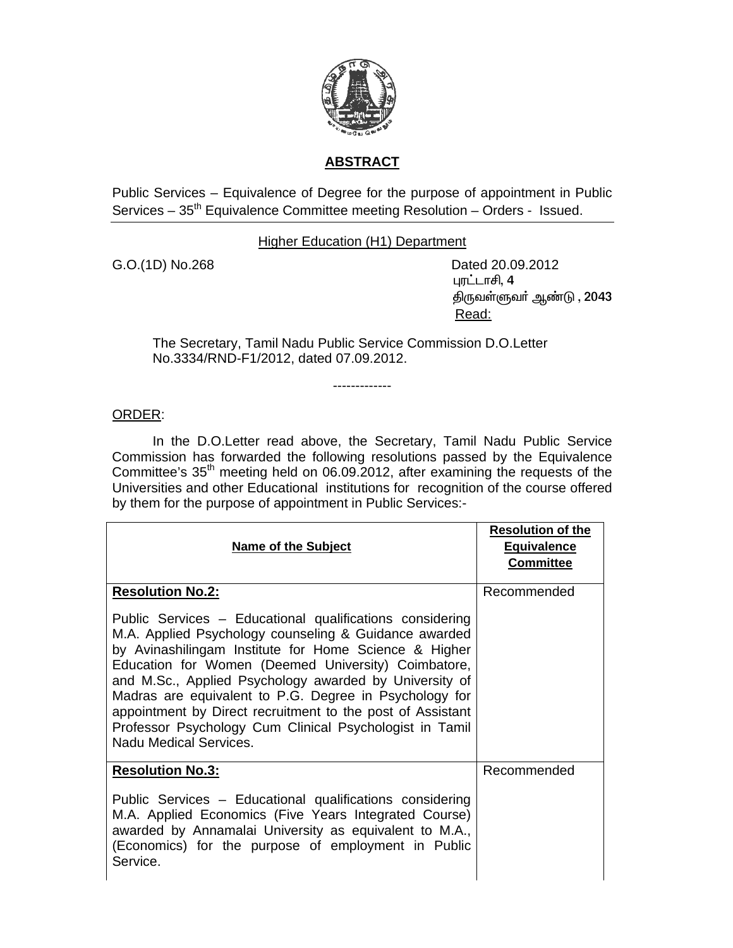

## **ABSTRACT**

Public Services – Equivalence of Degree for the purpose of appointment in Public Services – 35<sup>th</sup> Equivalence Committee meeting Resolution – Orders - Issued.

Higher Education (H1) Department

G.O.(1D) No.268 Dated 20.09.2012 புரட்டாசி, 4 திருவள்ளுவா் ஆண்டு ,  $2043$ <u>Read: Album and Album and Album and Album and Album and Album and Album and Album and Album and Album and Album and Album and Album and Album and Album and Album and Album and Album and Album and Album and Album and Album</u>

The Secretary, Tamil Nadu Public Service Commission D.O.Letter No.3334/RND-F1/2012, dated 07.09.2012.

## ORDER:

 In the D.O.Letter read above, the Secretary, Tamil Nadu Public Service Commission has forwarded the following resolutions passed by the Equivalence Committee's 35th meeting held on 06.09.2012, after examining the requests of the Universities and other Educational institutions for recognition of the course offered by them for the purpose of appointment in Public Services:-

-------------

| <b>Name of the Subject</b>                                                                                                                                                                                                                                                                                                                                                                                                                                                                                                          | <b>Resolution of the</b><br><b>Equivalence</b><br><b>Committee</b> |
|-------------------------------------------------------------------------------------------------------------------------------------------------------------------------------------------------------------------------------------------------------------------------------------------------------------------------------------------------------------------------------------------------------------------------------------------------------------------------------------------------------------------------------------|--------------------------------------------------------------------|
| <b>Resolution No.2:</b><br>Public Services - Educational qualifications considering<br>M.A. Applied Psychology counseling & Guidance awarded<br>by Avinashilingam Institute for Home Science & Higher<br>Education for Women (Deemed University) Coimbatore,<br>and M.Sc., Applied Psychology awarded by University of<br>Madras are equivalent to P.G. Degree in Psychology for<br>appointment by Direct recruitment to the post of Assistant<br>Professor Psychology Cum Clinical Psychologist in Tamil<br>Nadu Medical Services. | Recommended                                                        |
| <b>Resolution No.3:</b><br>Public Services - Educational qualifications considering<br>M.A. Applied Economics (Five Years Integrated Course)<br>awarded by Annamalai University as equivalent to M.A.,<br>(Economics) for the purpose of employment in Public<br>Service.                                                                                                                                                                                                                                                           | Recommended                                                        |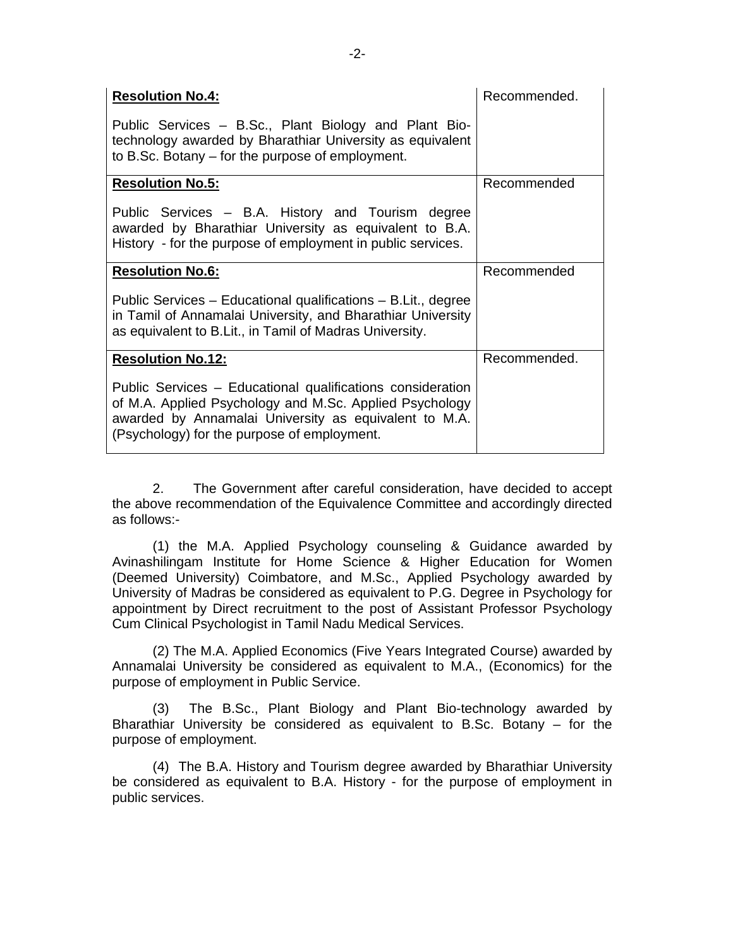| <b>Resolution No.4:</b>                                                                                                                                                                                                       | Recommended. |
|-------------------------------------------------------------------------------------------------------------------------------------------------------------------------------------------------------------------------------|--------------|
| Public Services – B.Sc., Plant Biology and Plant Bio-<br>technology awarded by Bharathiar University as equivalent<br>to B.Sc. Botany $-$ for the purpose of employment.                                                      |              |
| <b>Resolution No.5:</b>                                                                                                                                                                                                       | Recommended  |
| Public Services – B.A. History and Tourism degree<br>awarded by Bharathiar University as equivalent to B.A.<br>History - for the purpose of employment in public services.                                                    |              |
| <b>Resolution No.6:</b>                                                                                                                                                                                                       | Recommended  |
| Public Services – Educational qualifications – B.Lit., degree<br>in Tamil of Annamalai University, and Bharathiar University<br>as equivalent to B.Lit., in Tamil of Madras University.                                       |              |
| <b>Resolution No.12:</b>                                                                                                                                                                                                      | Recommended. |
| Public Services - Educational qualifications consideration<br>of M.A. Applied Psychology and M.Sc. Applied Psychology<br>awarded by Annamalai University as equivalent to M.A.<br>(Psychology) for the purpose of employment. |              |

2. The Government after careful consideration, have decided to accept the above recommendation of the Equivalence Committee and accordingly directed as follows:-

(1) the M.A. Applied Psychology counseling & Guidance awarded by Avinashilingam Institute for Home Science & Higher Education for Women (Deemed University) Coimbatore, and M.Sc., Applied Psychology awarded by University of Madras be considered as equivalent to P.G. Degree in Psychology for appointment by Direct recruitment to the post of Assistant Professor Psychology Cum Clinical Psychologist in Tamil Nadu Medical Services.

(2) The M.A. Applied Economics (Five Years Integrated Course) awarded by Annamalai University be considered as equivalent to M.A., (Economics) for the purpose of employment in Public Service.

(3) The B.Sc., Plant Biology and Plant Bio-technology awarded by Bharathiar University be considered as equivalent to B.Sc. Botany – for the purpose of employment.

(4) The B.A. History and Tourism degree awarded by Bharathiar University be considered as equivalent to B.A. History - for the purpose of employment in public services.